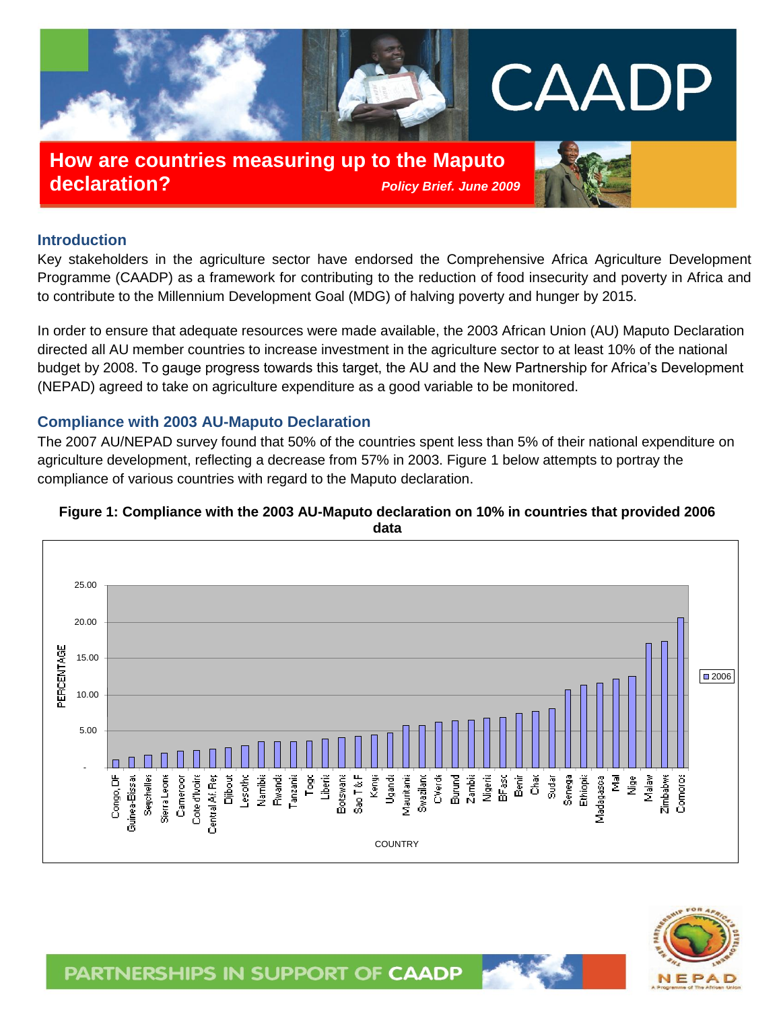

**How are countries measuring up to the Maputo declaration?** *Policy Brief. June 2009*



## **Introduction**

Key stakeholders in the agriculture sector have endorsed the Comprehensive Africa Agriculture Development Programme (CAADP) as a framework for contributing to the reduction of food insecurity and poverty in Africa and to contribute to the Millennium Development Goal (MDG) of halving poverty and hunger by 2015.

In order to ensure that adequate resources were made available, the 2003 African Union (AU) Maputo Declaration directed all AU member countries to increase investment in the agriculture sector to at least 10% of the national budget by 2008. To gauge progress towards this target, the AU and the New Partnership for Africa's Development (NEPAD) agreed to take on agriculture expenditure as a good variable to be monitored.

### **Compliance with 2003 AU-Maputo Declaration**

The 2007 AU/NEPAD survey found that 50% of the countries spent less than 5% of their national expenditure on agriculture development, reflecting a decrease from 57% in 2003. Figure 1 below attempts to portray the compliance of various countries with regard to the Maputo declaration.



### **Figure 1: Compliance with the 2003 AU-Maputo declaration on 10% in countries that provided 2006 data**



PARTNERSHIPS IN SUPPORT OF CAADP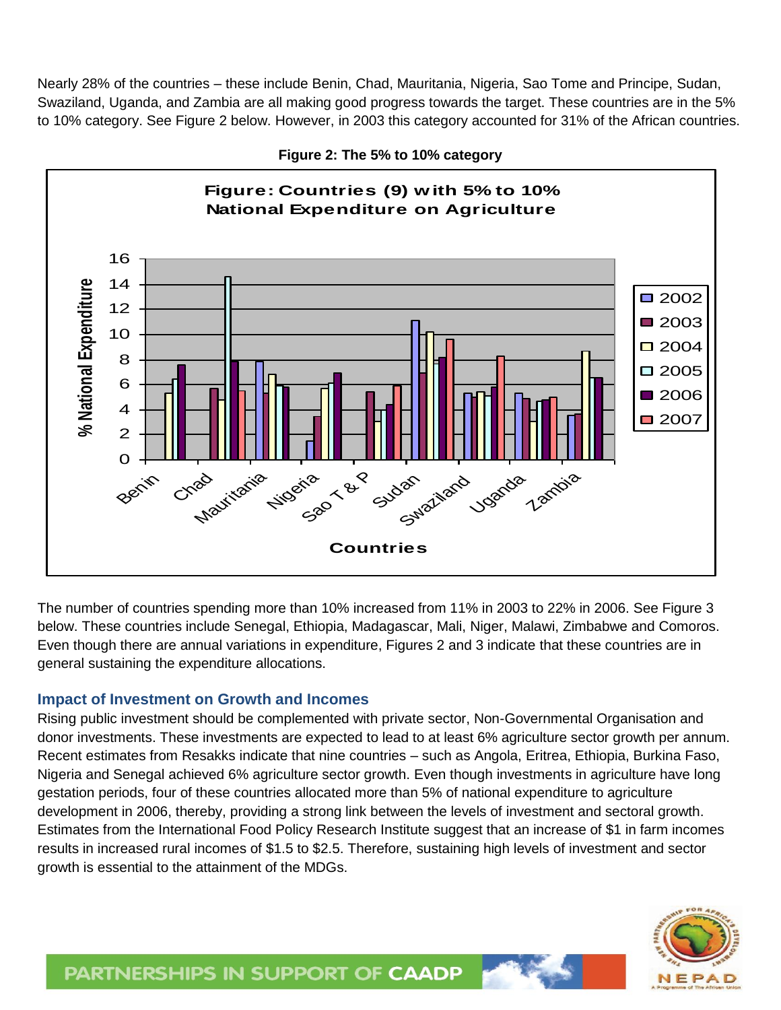Nearly 28% of the countries – these include Benin, Chad, Mauritania, Nigeria, Sao Tome and Principe, Sudan, Swaziland, Uganda, and Zambia are all making good progress towards the target. These countries are in the 5% to 10% category. See Figure 2 below. However, in 2003 this category accounted for 31% of the African countries.



**Figure 2: The 5% to 10% category**

The number of countries spending more than 10% increased from 11% in 2003 to 22% in 2006. See Figure 3 below. These countries include Senegal, Ethiopia, Madagascar, Mali, Niger, Malawi, Zimbabwe and Comoros. Even though there are annual variations in expenditure, Figures 2 and 3 indicate that these countries are in general sustaining the expenditure allocations.

# **Impact of Investment on Growth and Incomes**

Rising public investment should be complemented with private sector, Non-Governmental Organisation and donor investments. These investments are expected to lead to at least 6% agriculture sector growth per annum. Recent estimates from Resakks indicate that nine countries – such as Angola, Eritrea, Ethiopia, Burkina Faso, Nigeria and Senegal achieved 6% agriculture sector growth. Even though investments in agriculture have long gestation periods, four of these countries allocated more than 5% of national expenditure to agriculture development in 2006, thereby, providing a strong link between the levels of investment and sectoral growth. Estimates from the International Food Policy Research Institute suggest that an increase of \$1 in farm incomes results in increased rural incomes of \$1.5 to \$2.5. Therefore, sustaining high levels of investment and sector growth is essential to the attainment of the MDGs.

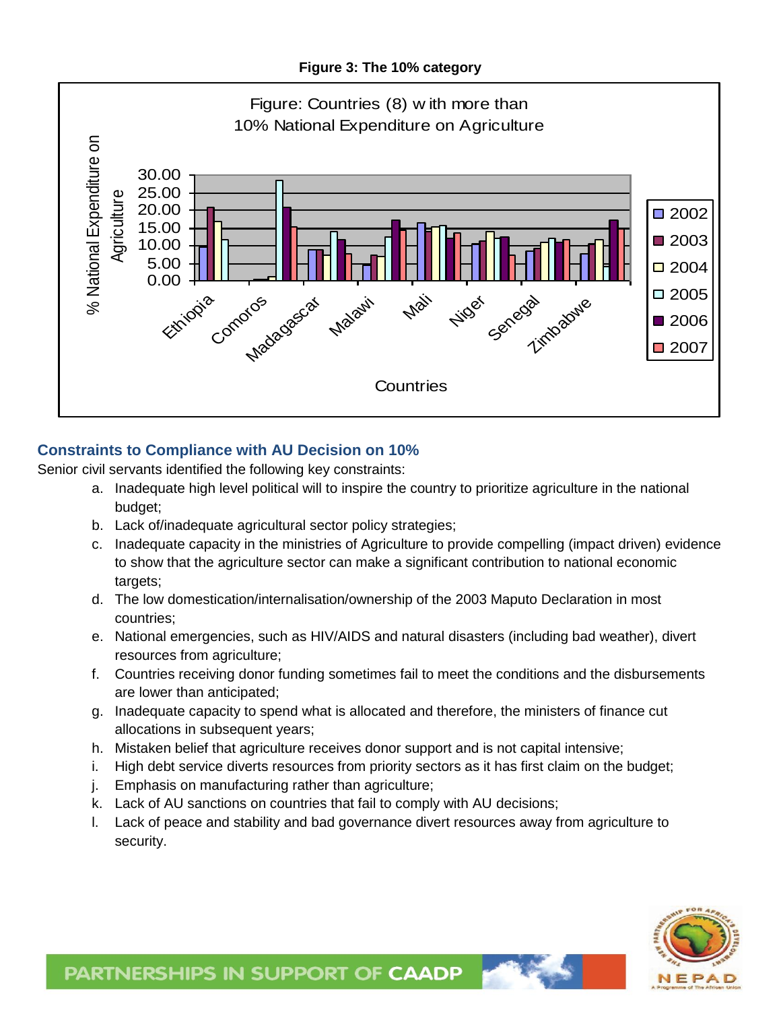**Figure 3: The 10% category**



# **Constraints to Compliance with AU Decision on 10%**

Senior civil servants identified the following key constraints:

- a. Inadequate high level political will to inspire the country to prioritize agriculture in the national budget;
- b. Lack of/inadequate agricultural sector policy strategies;
- c. Inadequate capacity in the ministries of Agriculture to provide compelling (impact driven) evidence to show that the agriculture sector can make a significant contribution to national economic targets;
- d. The low domestication/internalisation/ownership of the 2003 Maputo Declaration in most countries;
- e. National emergencies, such as HIV/AIDS and natural disasters (including bad weather), divert resources from agriculture;
- f. Countries receiving donor funding sometimes fail to meet the conditions and the disbursements are lower than anticipated;
- g. Inadequate capacity to spend what is allocated and therefore, the ministers of finance cut allocations in subsequent years;
- h. Mistaken belief that agriculture receives donor support and is not capital intensive;
- i. High debt service diverts resources from priority sectors as it has first claim on the budget;
- j. Emphasis on manufacturing rather than agriculture;
- k. Lack of AU sanctions on countries that fail to comply with AU decisions;
- l. Lack of peace and stability and bad governance divert resources away from agriculture to security.



# PARTNERSHIPS IN SUPPORT OF CAADP